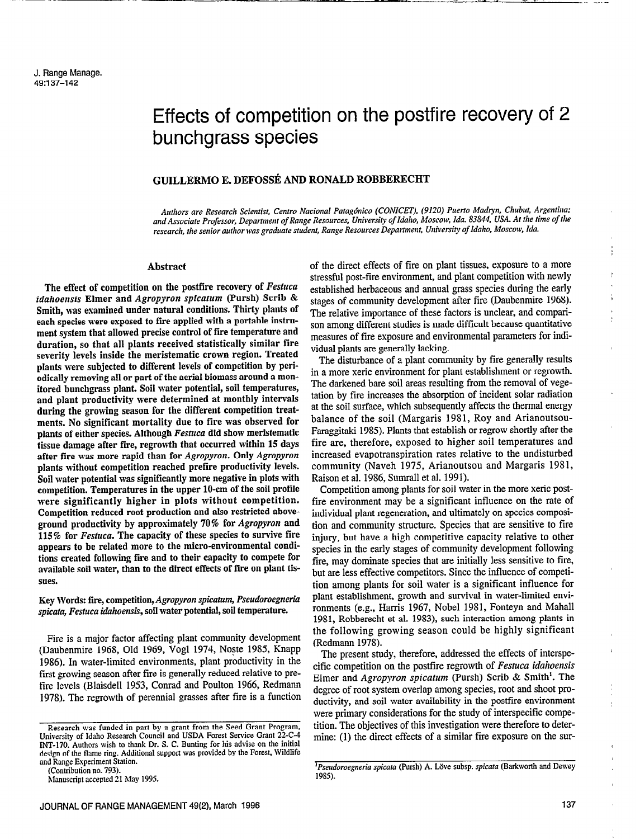----- \_ \_..

# Effects of competition on the postfire recovery of 2 bunchgrass species

# GUILLERMO E. DEFOSSÉ AND RONALD ROBBERECHT

Authors are Research Scientist, Centro Nacional Patagónico (CONICET), (9120) Puerto Madryn, Chubut, Argentina; and Associate Professor, Department of Range Resources, University of Idaho, Moscow, Ida. S3S44, USA. At the time of the research, the senior author was graduate student, Range Resources Department, University of Idaho, Moscow, Ida.

# Abstract

The effect of competition on the postfire recovery of Festuca idahoensis Elmer and Agropyron spicatum (Pursh) Scrib & Smith, was esamined under natural conditions. Thirty plants of each species were exposed to tire applied with a portable instrument system that allowed precise control of fire temperature and duration, so that all plants received statistically similar fire severity levels inside the meristematic crown region. Treated plants were subjected to different levels of competition by periodically removing all or part of the aerial biomass around a monitored bunchgrass plant. Soil water potential, soil temperatures, and plant productivity were determined at monthly intervals during the growing season for the different competition treatments. No significant mortality due to fire was observed for plants of either species. Although Festuca did show meristematic tissue damage after fire, regrowth that occurred within 15 days after fire was more rapid than for Agropyron. Only Agropyron plants without competition reached prefire productivity levels. Soil water potential was significantly more negative in plots with competition. Temperatures in the upper 10-cm of the soil profile were significantly higher in plots without competition. Competition reduced root production and also restricted aboveground productivity by approximately 70% for Agropyron and 115% for Festuca. The capacity of these species to survive fire appears to be related more to the micro-environmental conditions created following fire and to their capacity to compete for available soil water, than to the direct effects of fire on plant tissues.

Key Words: fire, competition, Agropyron spicatum, Pseudoroegneria spicata, Festuca idahoensis, soil water potential, soil temperature.

Fire is a major factor affecting plant community development (Daubenmire 1968, Old 1969, Vogl 1974, Noste 1985, Knapp 1986). In water-limited environments, plant productivity in the first growing season after fire is generally reduced relative to prefire levels (Blaisdell 1953, Conrad and Poulton 1966, Redmann 1978). The regrowth of perennial grasses after fire is a function

of the direct effects of fire on plant tissues, exposure to a more stressful post-fire environment, and plant competition with newly established herbaceous and annual grass species during the early stages of community development after fire (Daubenmire 1968). The relative importance of these factors is unclear, and comparison among different studies is made difficult because quantitative measures of fire exposure and environmental parameters for individual plants are generally lacking.

- .r U-F

The disturbance of a plant community by fire generally results in a more xeric environment for plant establishment or regrowth. The darkened bare soil areas resulting from the removal of vegetation by fire increases the absorption of incident solar radiation at the soil surface, which subsequently affects the thermal energy balance of the soil (Margaris 1981, Roy and Arianoutsou-Faraggitaki 1985). Plants that establish or regrow shortly after the fire are, therefore, exposed to higher soil temperatures and increased evapotranspiration rates relative to the undisturbed community (Naveh 1975, Arianoutsou and Margaris 1981, Raison et al. 1986, Sumrall et al. 1991).

Competition among plants for soil water in the more xeric postfire environment may be a significant influence on the rate of individual plant regeneration, and ultimately on species composition and community structure. Species that are sensitive to fire injury, but have a high competitive capacity relative to other species in the early stages of community development following fire, may dominate species that are initially less sensitive to fire, but are less effective competitors. Since the influence of competition among plants for soil water is a significant influence for plant establishment, growth and survival in water-limited environments (e.g., Harris 1967, Nobel 1981, Fonteyn and Mahall 1981, Robberecht et al. 1983), such interaction among plants in the following growing season could be highly significant (Redmann 1978).

The present study, therefore, addressed the effects of interspecific competition on the postfire regrowth of Festuca idahoensis Elmer and Agropyron spicatum (Pursh) Scrib & Smith'. The degree of root system overlap among species, root and shoot productivity, and soil water availability in the postfire environment were primary considerations for the study of interspecific competition. The objectives of this investigation were therefore to determine: (1) the direct effects of a similar fire exposure on the sur-

Research was funded in part by a grant from the Seed Grant Program, University of Idaho Research Council and USDA Forest Service Grant 22-C-4 INT-170. Authors wish to thank Dr. S. C. Bunting for his advise on the initial design of the flame ring. Additional support was provided by the Forest, Wildlife design of the flame ring. Additional support was provided by the Forest, Wildlife and Range Experiment Station.<br>(Contribution no. 793).

hlanuscript accepted 21 May 1995.

<sup>&</sup>lt;sup>1</sup>Pseudoroegneria spicata (Pursh) A. Löve subsp. spicata (Barkworth and Dewey 1985).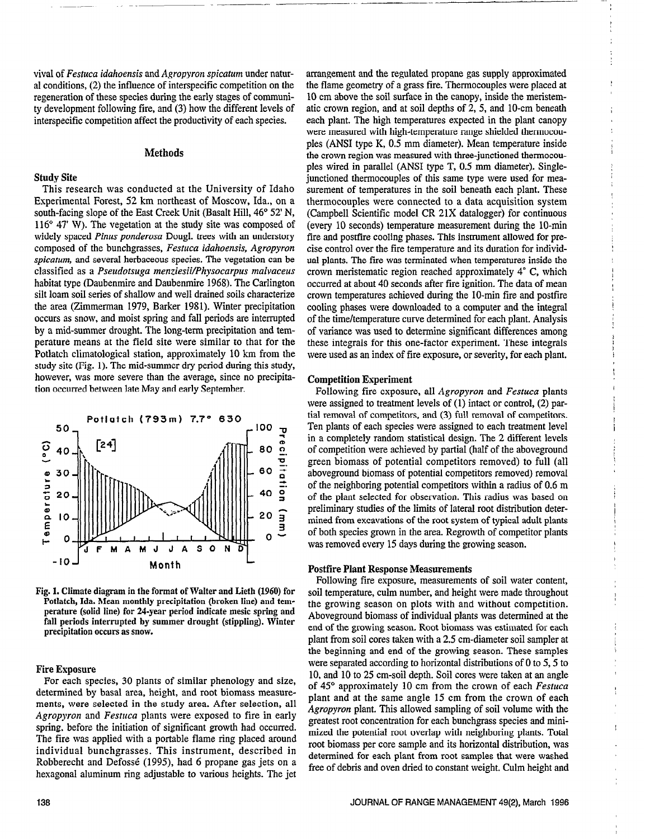viva1 of Festuca idahoensis and Agropyron spicatum under natural conditions, (2) the influence of interspecific competition on the regeneration of these species during the early stages of community development following fire, and (3) how the different levels of interspecific competition affect the productivity of each species.

# Methods

## Study Site

This research was conducted at the University of Idaho Esperimental Forest, 52 km northeast of Moscow, Ida., on a south-facing slope of the East Creek Unit (Basalt Hill, 46° 52' N, 116" 47' W). The vegetation at the study site was composed of widely spaced Pinus ponderosa Dougl. trees with an understory composed of the bunchgrasses, Festuca idahoensis, Agropyron spicatum, and several herbaceous species. The vegetation can be classified as a Pseudotsuga menziesii/Physocarpus malvaceus habitat type (Daubenmire and Daubenmire 1968). The Carlington silt loam soil series of shallow and well drained soils characterize the area (Zimmerman 1979, Barker 1981). Winter precipitation occurs as snow, and moist spring and fall periods are interrupted by a mid-summer drought. The long-term precipitation and temperature means at the field site were similar to that for the Potlatch climatological station, approximately 10 km from the study site (Fig. 1). The mid-summer dry period during this study, however, was more severe than the average, since no precipitation occurred between late May and early September.



Fig. 1. Climate diagram in the format of Walter and Lieth (1960) for Potlatch, Ida. Mean monthly precipitation (broken line) and temperature (solid line) for 24-year period indicate mesic spring and permane (some me) for a region period multimeter dreste spring and ran perious mierrupicu ny

## Fire Exposure

 $F^{\text{tr}}$  exposure species, 30 plants of size, 30 plants of size, 30 plants of size, 30 plants of size, 30 plants of size, 30 plants of size, 30 plants of size, 30 plants of size, 30 plants of size, 30 plants of size, 30 For each species, so plants of similar phenology and size, determined by basal area, height, and root biomass measurements, were selected in the study area. After selection, all Agropyron and Festuca plants were exposed to fire in early spring, before the initiation of significant growth had occurred. The fire was applied with a portable flame ring placed around individual bunchgrasses. This instrument, described in Robberecht and Defossé (1995), had 6 propane gas jets on a hexagonal aluminum ring adjustable to various heights. The jet

arrangement and the regulated propane gas supply approximated the flame geometry of a grass fire. Thermocouples were placed at 10 cm above the soil surface in the canopy, inside the meristematic crown region, and at soil depths of 2, 5, and 10-cm beneath each plant. The high temperatures expected in the plant canopy were measured with high-temperature range shielded thermocouples (ANSI type K, 0.5 mm diameter). Mean temperature inside the crown region was measured with three-junctioned thermocouples wired in parallel (ANSI type T, 0.5 mm diameter). Singlejunctioned thermocouples of this same type were used for measurement of temperatures in the soil beneath each plant. These thermocouples were connected to a data acquisition system (Campbell Scientific model CR 21X datalogger) for continuous (every 10 seconds) temperature measurement during the 10-min fire and postfire cooling phases. This instrument allowed for precise control over the fire temperature and its duration for individual plants. The fire was terminated when temperatures inside the crown meristematic region reached approximately 4" C, which occurred at about 40 seconds after fire ignition. The data of mean crown temperatures achieved during the IO-min fire and postfire cooling phases were downloaded to a computer and the integral of the time/temperature curve determined for each plant. Analysis of variance was used to determine significant differences among these integrals for this one-factor experiment. These integrals were used as an index of fire exposure, or severity, for each plant.

-

## Competition Esperiment

Following fire exposure, all Agropyron and Festuca plants were assigned to treatment levels of (1) intact or control, (2) partial removal of competitors, and (3) full removal of competitors. Ten plants of each species were assigned to each treatment level in a completely random statistical design. The 2 different levels of competition were achieved by partial (half of the aboveground green biomass of potential competitors removed) to full (all aboveground biomass of potential competitors removed) removal of the neighboring potential competitors within a radius of 0.6 m of the plant selected for observation. This radius was based on preliminary studies of the limits of lateral root distribution determined from excavations of the root system of typical adult plants of both species grown in the area. Regrowth of competitor plants was removed every 15 days during the growing season.

# Postfire Plant Response Measurements

Following fire exposure, measurements of soil water content, soil temperature, culm number, and height were made throughout the growing season on plots with and without competition. above growing scason on plots with and without competition. Aboveground biomass of individual plants was determined at the end of the growing season. Root biomass was estimated for each plant from soil cores taken with a 2.5 cm-diameter soil sampler at the beginning and end of the growing season. These samples were separated according to horizontal distributions of 0 to 5, 5 to 10, and 10 to 25 cm-soil depth. Soil cores were taken at an angle of  $45^\circ$  approximately 10 cm from the crown of each Festuca plant and at the same angle 15 cm from the crown of each Agropyron plant. This allowed sampling of soil volume with the greatest root concentration for each bunchgrass species and minimized the potential root overlap with neighboring plants. Total root biomass per core sample and its horizontal distribution, was determined for each plant from root samples that were washed free of debris and oven dried to constant weight. Culm height and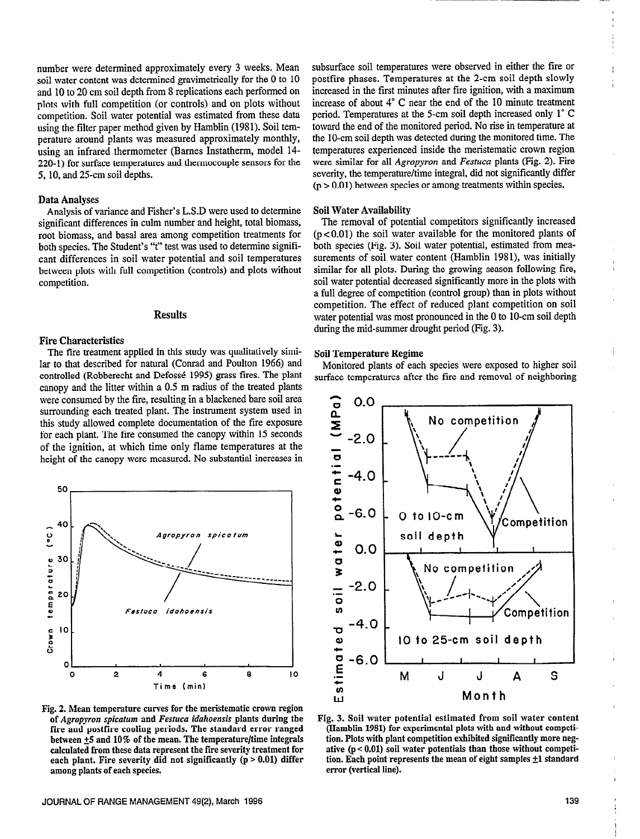number were determined approximately every 3 weeks. Mean soil water content was determined gravimetrically for the 0 to 10 and 10 to 20 cm soil depth from 8 replications each performed on plots with full competition (or controls) and on plots without competition. Soil water potential was estimated from these data using the filter paper method given by Hamblin (1981). Soil temperature around plants was measured approximately monthly, using an infrared thermometer (Barnes Instatherm, model 14- 220-1) for surface temperatures and thermocouple sensors for the 5, 10, and 25-cm soil depths.

## Data Analyses

Analysis of variance and Fisher's L.S.D were used to determine significant differences in culm number and height, total biomass, root biomass, and basal area among competition treatments for both species. The Student's "t" test was used to determine significant differences in soil water potential and soil temperatures between plots with full competition (controls) and plots without competition.

# Results

## Fire Characteristics

The fire treatment applied in this study was qualitatively similar to that described for natural (Conrad and Poulton 1966) and controlled (Robberecht and Defossé 1995) grass fires. The plant canopy and the litter within a 0.5 m radius of the treated plants were consumed by the fire, resulting in a blackened bare soil area surrounding each treated plant. The instrument system used in this study allowed complete documentation of the fire exposure for each plant. The fire consumed the canopy within 15 seconds of the ignition, at which time only flame temperatures at the height of the canopy were measured. No substantial increases in



Fig. 2. Mean temperature curves for the meristematic crown region of Agropyon spicatum and Festuca idahoensis plants during the fire and postfire cooling periods. The standard error ranged between  $\pm 5$  and 10% of the mean. The temperature/time integrals calculated from these data represent the fire severity treatment for each plant. Fire severity did not significantly  $(p > 0.01)$  differ among plants of each species.

subsurface soil temperatures were observed in either the fire or postfire phases. Temperatures at the 2-cm soil depth slowly increased in the first minutes after fire ignition, with a maximum increase of about 4" C near the end of the 10 minute treatment period. Temperatures at the 5-cm soil depth increased only 1" C toward the end of the monitored period. No rise in temperature at the IO-cm soil depth was detected during the monitored time. The temperatures experienced inside the meristematic crown region were similar for all *Agropyron* and *Festuca* plants (Fig. 2). Fire severity, the temperature/time integral, did not significantly differ  $(p > 0.01)$  between species or among treatments within species.

#### Soil Water Availability

The removal of potential competitors significantly increased  $(p<0.01)$  the soil water available for the monitored plants of both species (Fig. 3). Soil water potential, estimated from measurements of soil water content (Hamblin 1981), was initially similar for all plots. During the growing season following fire, soil water potential decreased significantly more in the plots with a full degree of competition (control group) than in plots without competition. The effect of reduced plant competition on soil water potential was most pronounced in the 0 to IO-cm soil depth during the mid-summer drought period (Fig. 3).

#### Soil Temperature Regime

Monitored plants of each species were exposed to higher soil surface temperatures after the fire and removal of neighboring



Fig. 3. Soil water potential estimated from soil water content (Hamblin 1981) for experimental plots with and without competition. Plots with plant competition exhibited significantly more negative  $(p < 0.01)$  soil water potentials than those without competition. Each point represents the mean of eight samples  $\pm 1$  standard error (vertical line).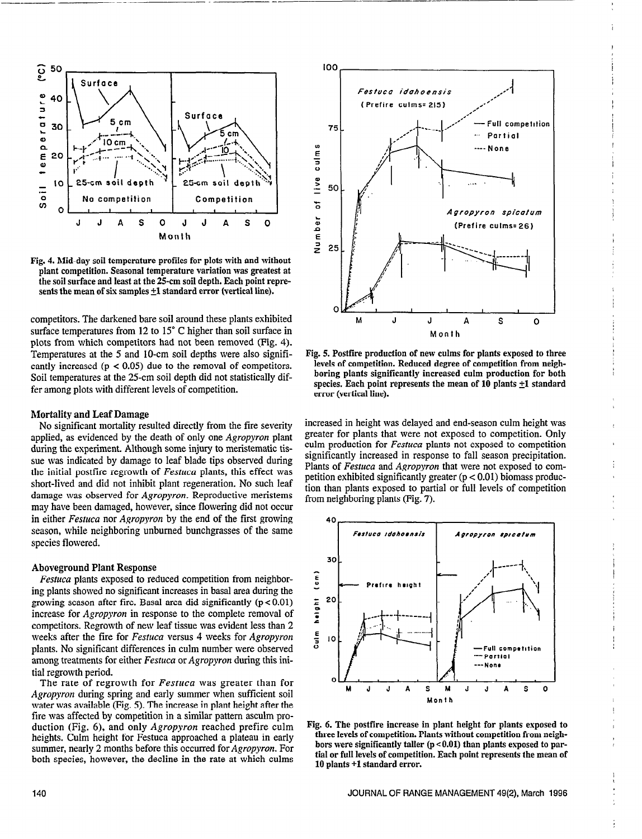

\_\_- -.- - -

Fig. 4. Mid-day soil temperature profiles for plots with and without plant competition. Seasonal temperature variation was greatest at the soil surface and least at the 25-cm soil depth. Each point represents the mean of six samples  $\pm 1$  standard error (vertical line).

competitors. The darkened bare soil around these plants exhibited surface temperatures from 12 to 15° C higher than soil surface in plots from which competitors had not been removed (Fig. 4). Temperatures at the 5 and IO-cm soil depths were also significantly increased  $(p < 0.05)$  due to the removal of competitors. Soil temperatures at the 25-cm soil depth did not statistically differ among plots with different levels of competition.

## Mortality and Leaf Damage

No significant mortality resulted directly from the fire severity applied, as evidenced by the death of only one Agropyron plant during the experiment. Although some injury to meristematic tissue was indicated by damage to leaf blade tips observed during the initial postfire regrowth of Festuca plants, this effect was short-lived and did not inhibit plant regeneration. No such leaf damage was observed for Agropyron. Reproductive meristems may have been damaged, however, since flowering did not occur in either Festuca nor Agropyron by the end of the first growing season, while neighboring unburned bunchgrasses of the same species flowered.

## Aboveground Plant Response

Festuca plants exposed to reduced competition from neighboring plants showed no significant increases in basal area during the growing season after fire. Basal area did significantly  $(p < 0.01)$ increase for Agropyron in response to the complete removal of competitors. Regrowth of new leaf tissue was evident less than 2 weeks after the fire for Festuca versus 4 weeks for Agropyron plants. No significant differences in culm number were observed among treatments for either Festuca or Agropyron during this initial regrowth period.

The rate of regrowth for Festuca was greater than for Apropyron during spring and early summer when sufficient soil water was available (Fig. 5). The increase in plant height after the fire was affected by competition in a similar pattern asculm production (Fig. 6), and only Agropyron reached prefire culm heights. Culm height for Festuca approached a plateau in early summer, nearly 2 months before this occurred for *Agropyron*. For both species, however, the decline in the rate at which culms



Fig. 5. Postfire production of new culms for plants exposed to three levels of competition. Reduced degree of competition from neighboring plants significantly increased culm production for both species. Each point represents the mean of  $10$  plants  $\pm 1$  standard error (vertical line).

increased in height was delayed and end-season culm height was greater for plants that were not exposed to competition. Only culm production for *Festuca* plants not exposed to competition significantly increased in response to fall season precipitation. Plants of Festuca and Agropyron that were not exposed to competition exhibited significantly greater (p < 0.01) biomass production than plants exposed to partial or full levels of competition from neighboring plants (Fig. 7).



Fig. 6. The postfire increase in plant height for plants exposed to three levels of competition. Plants without competition from neighbors were significantly taller  $(p < 0.01)$  than plants exposed to partial or full levels of competition. Each point represents the mean of 10 plants +l standard error.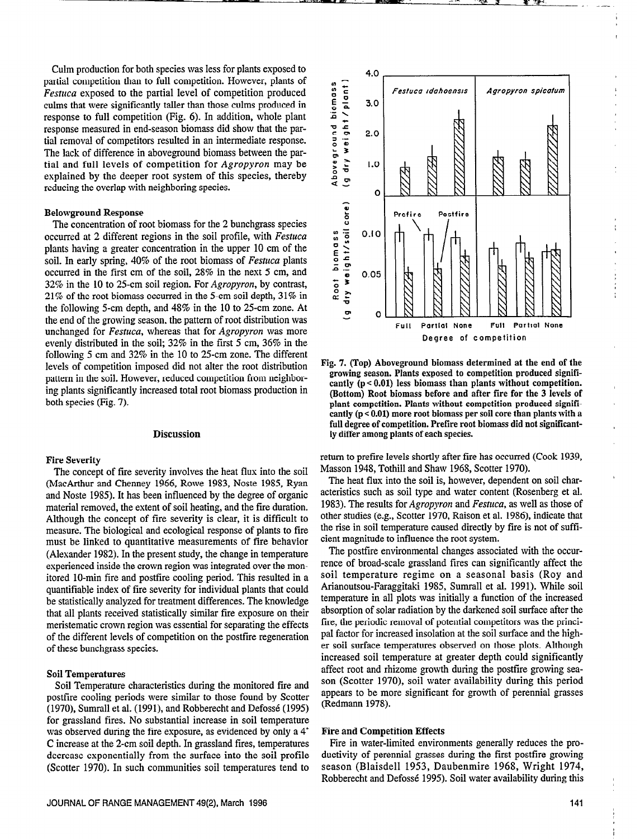Culm production for both species was less for plants exposed to partial competition than to full competition. However, plants of Festuca exposed to the partial level of competition produced culms that mere significantly taller than those culms produced in response to full competition (Fig. 6). In addition, whole plant response measured in end-season biomass did show that the partial removal of competitors resulted in an intermediate response. The lack of difference in aboveground biomass between the partial and full levels of competition for Agropyron may be explained by the deeper root system of this species, thereby reducing the overlap with neighboring species.

## Belowground Response

The concentration of root biomass for the 2 bunchgrass species occurred at 2 different regions in the soil profile, with Festuca plants having a greater concentration in the upper 10 cm of the soil. In early spring, 40% of the root biomass of Festuca plants occurred in the first cm of the soil, 28% in the next 5 cm, and 32% in the 10 to 25-cm soil region. For Agropyron, by contrast, 21% of the root biomass occurred in the 5-cm soil depth, 31% in the following 5-cm depth, and 48% in the 10 to 25-cm zone. At the end of the growing season, the pattern of root distribution was unchanged for Festuca, whereas that for Agropyron was more evenly distributed in the soil; 32% in the first 5 cm, 36% in the following 5 cm and 32% in the 10 to 25-cm zone. The different levels of competition imposed did not alter the root distribution pattern in the soil. However, reduced competition from neighboring plants significantly increased total root biomass production in both species (Fig. 7).

# Discussion

#### Fire Severity

The concept of fire severity involves the heat flux into the soil (MacArthur and Chenney 1966, Rowe 1983, Noste 1985, Ryan and Noste 1985). It has been influenced by the degree of organic material removed, the extent of soil heating, and the fire duration. Although the concept of fire severity is clear, it is difficult to measure. The biological and ecological response of plants to fire must be linked to quantitative measurements of fire behavior (Alexander 1982). In the present study, the change in temperature esperienced inside the crown region was integrated over the monitored IO-min fire and postfire cooling period. This resulted in a quantifiable index of fire severity for individual plants that could be statistically analyzed for treatment differences. The knowledge that all plants received statistically similar fire exposure on their meristematic crown region was essential for separating the effects of the different levels of competition on the postfire regeneration of these bunchgrass species.

#### Soil Temperatures

Soil Temperature characteristics during the monitored fire and postfire cooling periods were similar to those found by Scatter (1970), Sumrall et al. (1991), and Robberecht and Defosse (1995) for grassland fires. No substantial increase in soil temperature was observed during the fire exposure, as evidenced by only a 4<sup>°</sup> C increase at the 2-cm soil depth. In grassland fires, temperatures decrease exponentially from the surface into the soil profile (Scatter 1970). In such communities soil temperatures tend to



Fig. 7. (Top) Aboveground biomass determined at the end of the growing season. Plants exposed to competition produced significantly (p < 0.01) less biomass than plants without competition. (Bottom) Root biomass before and after fire for the 3 levels of plant competition. Plants without competition produced significantly  $(p < 0.01)$  more root biomass per soil core than plants with a full degree of competition. Prefire root biomass did not significantly differ among plants of each species.

return to prefire levels shortly after fire has occurred (Cook 1939, Masson 1948, Tothill and Shaw 1968, Scatter 1970).

The heat flux into the soil is, however, dependent on soil characteristics such as soil type and water content (Rosenberg et al. 1983). The results for Agropyron and Festuca, as well as those of other studies (e.g., Scatter 1970, Raison et al. 1986). indicate that the rise in soil temperature caused directly by fire is not of sufficient magnitude to influence the root system.

The postfire environmental changes associated with the occurrence of broad-scale grassland fires can significantly affect the soil temperature regime on a seasonal basis (Roy and Arianoutsou-Faraggitaki 19S5, Sumrall et al. 1991). While soil temperature in all plots was initially a function of the increased absorption of solar radiation by the darkened soil surface after the fire, the periodic removal of potential competitors was the principal factor for increased insolation at the soil surface and the higher soil surface temperatures observed on those plots. Although increased soil temperature at greater depth could significantly affect root and rhizome growth during the postfire growing season (Scatter 1970), soil water availability during this period appears to be more significant for growth of perennial grasses (Redmann 1978).

# Fire and Competition Effects

Fire in water-limited environments generally reduces the productivity of perennial grasses during the first postfire growing season (Blaisdell 1953, Daubenmire 1968, Wright 1974, Robberecht and Defossé 1995). Soil water availability during this